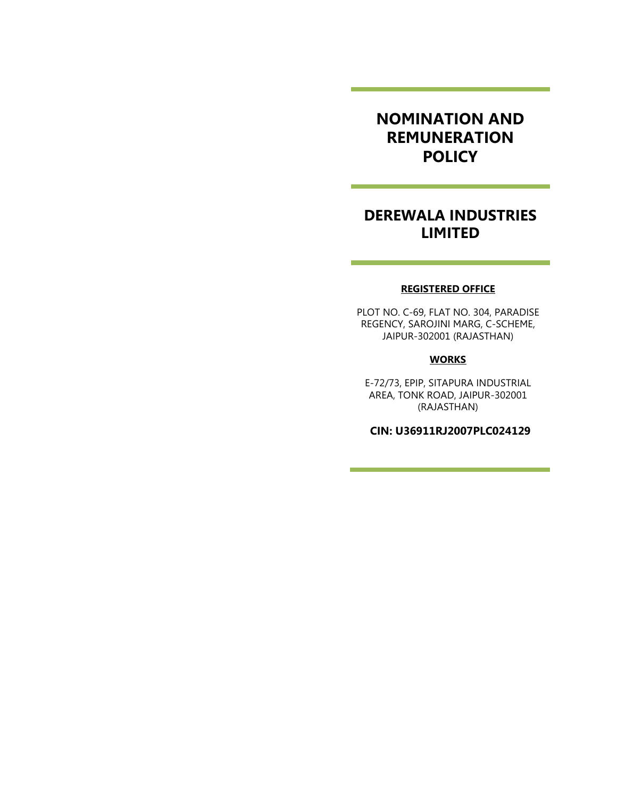# NOMINATION AND REMUNERATION **POLICY**

# DEREWALA INDUSTRIES LIMITED

<u> 1980 - Jan Barat, martin a</u>

#### REGISTERED OFFICE

PLOT NO. C-69, FLAT NO. 304, PARADISE REGENCY, SAROJINI MARG, C-SCHEME, JAIPUR-302001 (RAJASTHAN)

#### **WORKS**

E-72/73, EPIP, SITAPURA INDUSTRIAL AREA, TONK ROAD, JAIPUR-302001 (RAJASTHAN)

CIN: U36911RJ2007PLC024129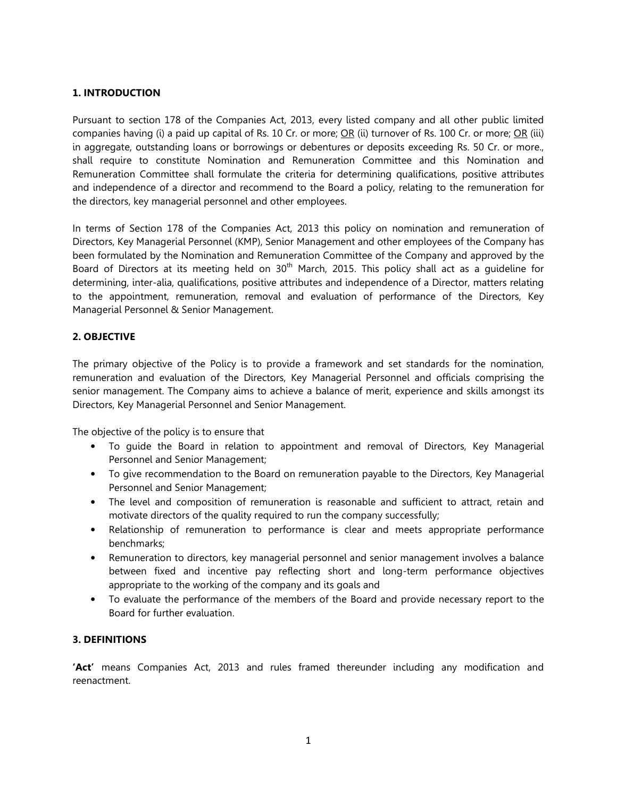# 1. INTRODUCTION

Pursuant to section 178 of the Companies Act, 2013, every listed company and all other public limited companies having (i) a paid up capital of Rs. 10 Cr. or more;  $OR$  (ii) turnover of Rs. 100 Cr. or more;  $OR$  (iii) in aggregate, outstanding loans or borrowings or debentures or deposits exceeding Rs. 50 Cr. or more., shall require to constitute Nomination and Remuneration Committee and this Nomination and Remuneration Committee shall formulate the criteria for determining qualifications, positive attributes and independence of a director and recommend to the Board a policy, relating to the remuneration for the directors, key managerial personnel and other employees.

In terms of Section 178 of the Companies Act, 2013 this policy on nomination and remuneration of Directors, Key Managerial Personnel (KMP), Senior Management and other employees of the Company has been formulated by the Nomination and Remuneration Committee of the Company and approved by the Board of Directors at its meeting held on  $30<sup>th</sup>$  March, 2015. This policy shall act as a quideline for determining, inter-alia, qualifications, positive attributes and independence of a Director, matters relating to the appointment, remuneration, removal and evaluation of performance of the Directors, Key Managerial Personnel & Senior Management.

### 2. OBJECTIVE

The primary objective of the Policy is to provide a framework and set standards for the nomination, remuneration and evaluation of the Directors, Key Managerial Personnel and officials comprising the senior management. The Company aims to achieve a balance of merit, experience and skills amongst its Directors, Key Managerial Personnel and Senior Management.

The objective of the policy is to ensure that

- To guide the Board in relation to appointment and removal of Directors, Key Managerial Personnel and Senior Management;
- To give recommendation to the Board on remuneration payable to the Directors, Key Managerial Personnel and Senior Management;
- The level and composition of remuneration is reasonable and sufficient to attract, retain and motivate directors of the quality required to run the company successfully;
- Relationship of remuneration to performance is clear and meets appropriate performance benchmarks;
- Remuneration to directors, key managerial personnel and senior management involves a balance between fixed and incentive pay reflecting short and long-term performance objectives appropriate to the working of the company and its goals and
- To evaluate the performance of the members of the Board and provide necessary report to the Board for further evaluation.

### 3. DEFINITIONS

'Act' means Companies Act, 2013 and rules framed thereunder including any modification and reenactment.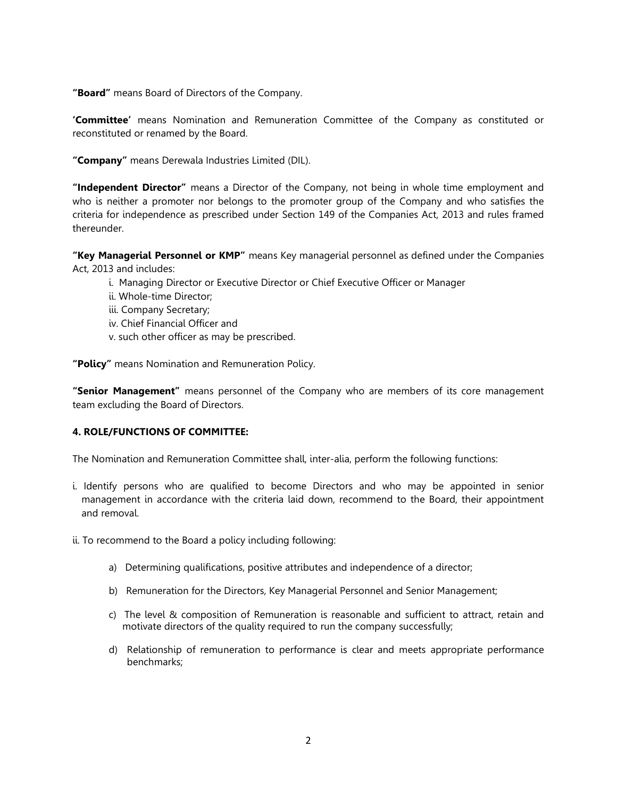"Board" means Board of Directors of the Company.

**'Committee'** means Nomination and Remuneration Committee of the Company as constituted or reconstituted or renamed by the Board.

"Company" means Derewala Industries Limited (DIL).

"Independent Director" means a Director of the Company, not being in whole time employment and who is neither a promoter nor belongs to the promoter group of the Company and who satisfies the criteria for independence as prescribed under Section 149 of the Companies Act, 2013 and rules framed thereunder.

"Key Managerial Personnel or KMP" means Key managerial personnel as defined under the Companies Act, 2013 and includes:

- i. Managing Director or Executive Director or Chief Executive Officer or Manager
- ii. Whole-time Director;
- iii. Company Secretary;
- iv. Chief Financial Officer and
- v. such other officer as may be prescribed.

"Policy" means Nomination and Remuneration Policy.

"Senior Management" means personnel of the Company who are members of its core management team excluding the Board of Directors.

#### 4. ROLE/FUNCTIONS OF COMMITTEE:

The Nomination and Remuneration Committee shall, inter-alia, perform the following functions:

i. Identify persons who are qualified to become Directors and who may be appointed in senior management in accordance with the criteria laid down, recommend to the Board, their appointment and removal.

ii. To recommend to the Board a policy including following:

- a) Determining qualifications, positive attributes and independence of a director;
- b) Remuneration for the Directors, Key Managerial Personnel and Senior Management;
- c) The level & composition of Remuneration is reasonable and sufficient to attract, retain and motivate directors of the quality required to run the company successfully;
- d) Relationship of remuneration to performance is clear and meets appropriate performance benchmarks;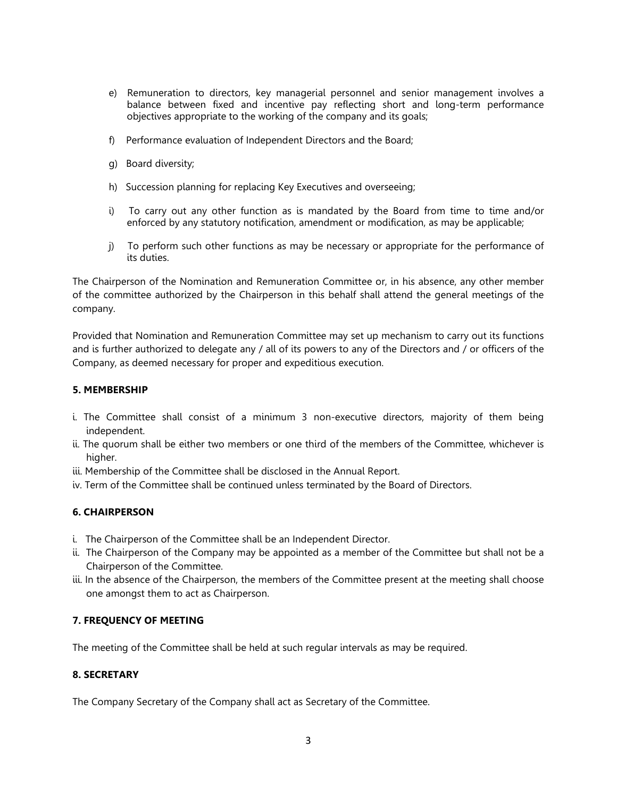- e) Remuneration to directors, key managerial personnel and senior management involves a balance between fixed and incentive pay reflecting short and long-term performance objectives appropriate to the working of the company and its goals;
- f) Performance evaluation of Independent Directors and the Board;
- g) Board diversity;
- h) Succession planning for replacing Key Executives and overseeing;
- i) To carry out any other function as is mandated by the Board from time to time and/or enforced by any statutory notification, amendment or modification, as may be applicable;
- j) To perform such other functions as may be necessary or appropriate for the performance of its duties.

The Chairperson of the Nomination and Remuneration Committee or, in his absence, any other member of the committee authorized by the Chairperson in this behalf shall attend the general meetings of the company.

Provided that Nomination and Remuneration Committee may set up mechanism to carry out its functions and is further authorized to delegate any / all of its powers to any of the Directors and / or officers of the Company, as deemed necessary for proper and expeditious execution.

### 5. MEMBERSHIP

- i. The Committee shall consist of a minimum 3 non-executive directors, majority of them being independent.
- ii. The quorum shall be either two members or one third of the members of the Committee, whichever is higher.
- iii. Membership of the Committee shall be disclosed in the Annual Report.
- iv. Term of the Committee shall be continued unless terminated by the Board of Directors.

### 6. CHAIRPERSON

- i. The Chairperson of the Committee shall be an Independent Director.
- ii. The Chairperson of the Company may be appointed as a member of the Committee but shall not be a Chairperson of the Committee.
- iii. In the absence of the Chairperson, the members of the Committee present at the meeting shall choose one amongst them to act as Chairperson.

### 7. FREQUENCY OF MEETING

The meeting of the Committee shall be held at such regular intervals as may be required.

### 8. SECRETARY

The Company Secretary of the Company shall act as Secretary of the Committee.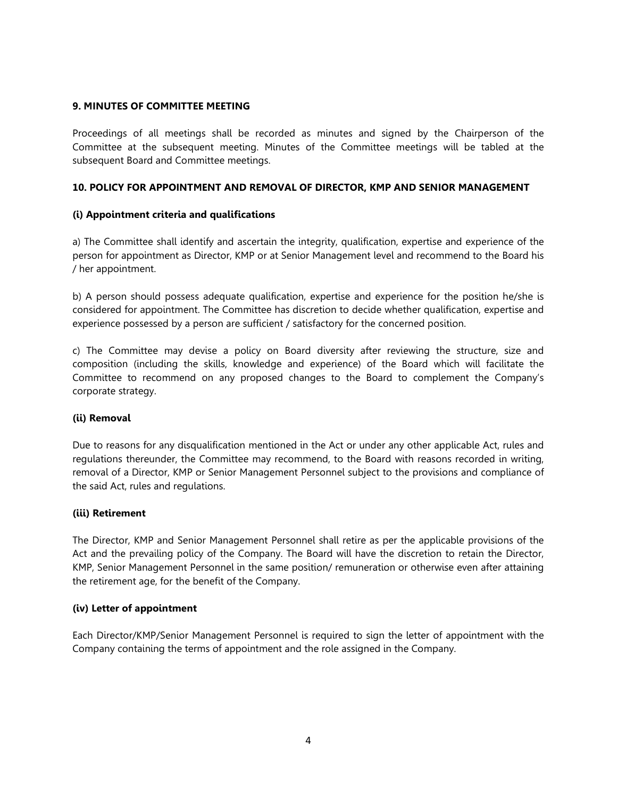### 9. MINUTES OF COMMITTEE MEETING

Proceedings of all meetings shall be recorded as minutes and signed by the Chairperson of the Committee at the subsequent meeting. Minutes of the Committee meetings will be tabled at the subsequent Board and Committee meetings.

# 10. POLICY FOR APPOINTMENT AND REMOVAL OF DIRECTOR, KMP AND SENIOR MANAGEMENT

### (i) Appointment criteria and qualifications

a) The Committee shall identify and ascertain the integrity, qualification, expertise and experience of the person for appointment as Director, KMP or at Senior Management level and recommend to the Board his / her appointment.

b) A person should possess adequate qualification, expertise and experience for the position he/she is considered for appointment. The Committee has discretion to decide whether qualification, expertise and experience possessed by a person are sufficient / satisfactory for the concerned position.

c) The Committee may devise a policy on Board diversity after reviewing the structure, size and composition (including the skills, knowledge and experience) of the Board which will facilitate the Committee to recommend on any proposed changes to the Board to complement the Company's corporate strategy.

### (ii) Removal

Due to reasons for any disqualification mentioned in the Act or under any other applicable Act, rules and regulations thereunder, the Committee may recommend, to the Board with reasons recorded in writing, removal of a Director, KMP or Senior Management Personnel subject to the provisions and compliance of the said Act, rules and regulations.

### (iii) Retirement

The Director, KMP and Senior Management Personnel shall retire as per the applicable provisions of the Act and the prevailing policy of the Company. The Board will have the discretion to retain the Director, KMP, Senior Management Personnel in the same position/ remuneration or otherwise even after attaining the retirement age, for the benefit of the Company.

### (iv) Letter of appointment

Each Director/KMP/Senior Management Personnel is required to sign the letter of appointment with the Company containing the terms of appointment and the role assigned in the Company.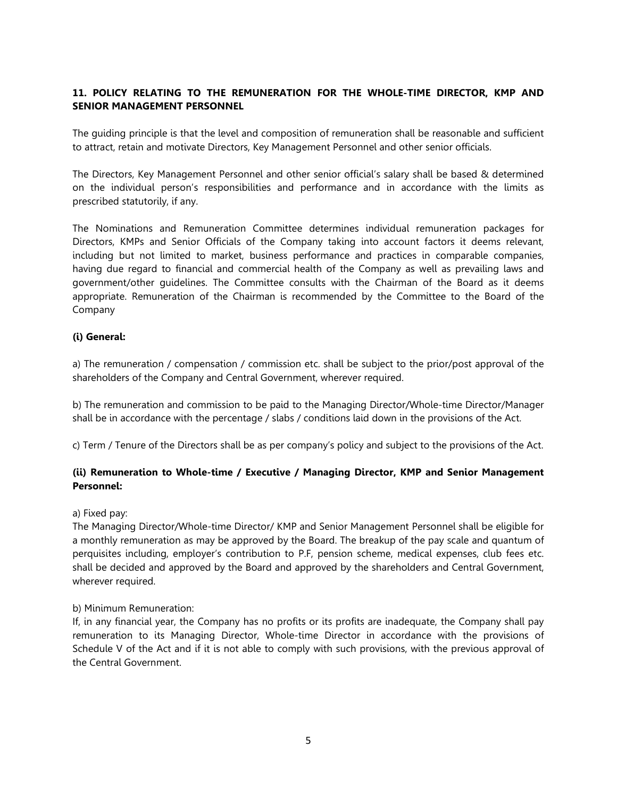# 11. POLICY RELATING TO THE REMUNERATION FOR THE WHOLE-TIME DIRECTOR, KMP AND SENIOR MANAGEMENT PERSONNEL

The guiding principle is that the level and composition of remuneration shall be reasonable and sufficient to attract, retain and motivate Directors, Key Management Personnel and other senior officials.

The Directors, Key Management Personnel and other senior official's salary shall be based & determined on the individual person's responsibilities and performance and in accordance with the limits as prescribed statutorily, if any.

The Nominations and Remuneration Committee determines individual remuneration packages for Directors, KMPs and Senior Officials of the Company taking into account factors it deems relevant, including but not limited to market, business performance and practices in comparable companies, having due regard to financial and commercial health of the Company as well as prevailing laws and government/other guidelines. The Committee consults with the Chairman of the Board as it deems appropriate. Remuneration of the Chairman is recommended by the Committee to the Board of the Company

### (i) General:

a) The remuneration / compensation / commission etc. shall be subject to the prior/post approval of the shareholders of the Company and Central Government, wherever required.

b) The remuneration and commission to be paid to the Managing Director/Whole-time Director/Manager shall be in accordance with the percentage / slabs / conditions laid down in the provisions of the Act.

c) Term / Tenure of the Directors shall be as per company's policy and subject to the provisions of the Act.

# (ii) Remuneration to Whole-time / Executive / Managing Director, KMP and Senior Management Personnel:

#### a) Fixed pay:

The Managing Director/Whole-time Director/ KMP and Senior Management Personnel shall be eligible for a monthly remuneration as may be approved by the Board. The breakup of the pay scale and quantum of perquisites including, employer's contribution to P.F, pension scheme, medical expenses, club fees etc. shall be decided and approved by the Board and approved by the shareholders and Central Government, wherever required.

#### b) Minimum Remuneration:

If, in any financial year, the Company has no profits or its profits are inadequate, the Company shall pay remuneration to its Managing Director, Whole-time Director in accordance with the provisions of Schedule V of the Act and if it is not able to comply with such provisions, with the previous approval of the Central Government.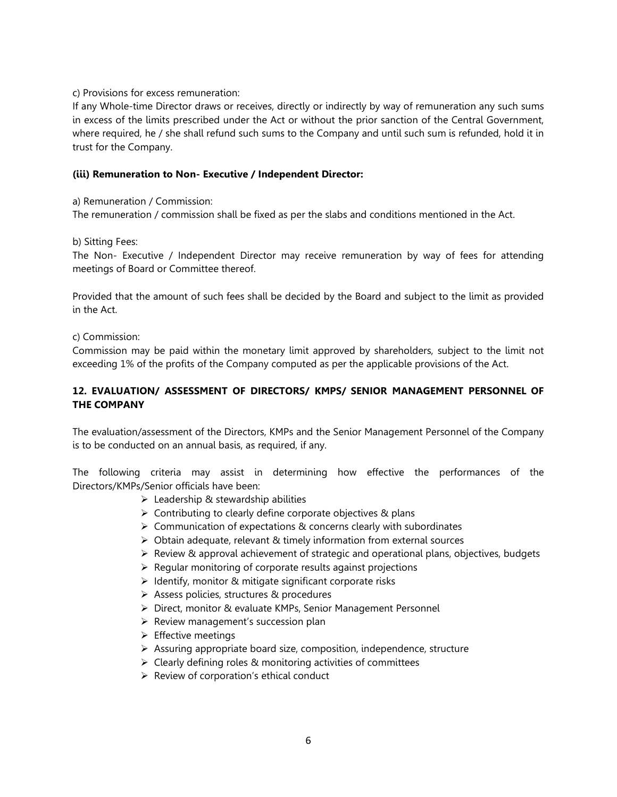c) Provisions for excess remuneration:

If any Whole-time Director draws or receives, directly or indirectly by way of remuneration any such sums in excess of the limits prescribed under the Act or without the prior sanction of the Central Government, where required, he / she shall refund such sums to the Company and until such sum is refunded, hold it in trust for the Company.

#### (iii) Remuneration to Non- Executive / Independent Director:

a) Remuneration / Commission:

The remuneration / commission shall be fixed as per the slabs and conditions mentioned in the Act.

b) Sitting Fees:

The Non- Executive / Independent Director may receive remuneration by way of fees for attending meetings of Board or Committee thereof.

Provided that the amount of such fees shall be decided by the Board and subject to the limit as provided in the Act.

c) Commission:

Commission may be paid within the monetary limit approved by shareholders, subject to the limit not exceeding 1% of the profits of the Company computed as per the applicable provisions of the Act.

# 12. EVALUATION/ ASSESSMENT OF DIRECTORS/ KMPS/ SENIOR MANAGEMENT PERSONNEL OF THE COMPANY

The evaluation/assessment of the Directors, KMPs and the Senior Management Personnel of the Company is to be conducted on an annual basis, as required, if any.

The following criteria may assist in determining how effective the performances of the Directors/KMPs/Senior officials have been:

- $\triangleright$  Leadership & stewardship abilities
- $\triangleright$  Contributing to clearly define corporate objectives & plans
- $\triangleright$  Communication of expectations & concerns clearly with subordinates
- $\triangleright$  Obtain adequate, relevant & timely information from external sources
- $\triangleright$  Review & approval achievement of strategic and operational plans, objectives, budgets
- $\triangleright$  Regular monitoring of corporate results against projections
- $\triangleright$  Identify, monitor & mitigate significant corporate risks
- Assess policies, structures & procedures
- ▶ Direct, monitor & evaluate KMPs, Senior Management Personnel
- $\triangleright$  Review management's succession plan
- $\triangleright$  Effective meetings
- $\triangleright$  Assuring appropriate board size, composition, independence, structure
- $\triangleright$  Clearly defining roles & monitoring activities of committees
- $\triangleright$  Review of corporation's ethical conduct